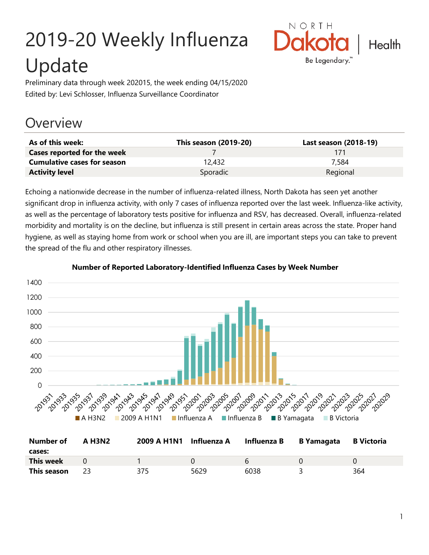# 2019-20 Weekly Influenza Update



Preliminary data through week 202015, the week ending 04/15/2020 Edited by: Levi Schlosser, Influenza Surveillance Coordinator

## **Overview**

| As of this week:                   | <b>This season (2019-20)</b> | Last season (2018-19) |
|------------------------------------|------------------------------|-----------------------|
| Cases reported for the week        |                              | 171                   |
| <b>Cumulative cases for season</b> | 12.432                       | 7.584                 |
| <b>Activity level</b>              | Sporadic                     | Regional              |

Echoing a nationwide decrease in the number of influenza-related illness, North Dakota has seen yet another significant drop in influenza activity, with only 7 cases of influenza reported over the last week. Influenza-like activity, as well as the percentage of laboratory tests positive for influenza and RSV, has decreased. Overall, influenza-related morbidity and mortality is on the decline, but influenza is still present in certain areas across the state. Proper hand hygiene, as well as staying home from work or school when you are ill, are important steps you can take to prevent the spread of the flu and other respiratory illnesses.



#### **Number of Reported Laboratory-Identified Influenza Cases by Week Number**

| <b>Number of</b><br>cases: | <b>A H3N2</b> | 2009 A H1N1 Influenza A |      | Influenza B | <b>B</b> Yamagata | <b>B</b> Victoria |
|----------------------------|---------------|-------------------------|------|-------------|-------------------|-------------------|
| This week                  |               |                         |      | h           |                   |                   |
| This season                |               | 375                     | 5629 | 6038        |                   | 364               |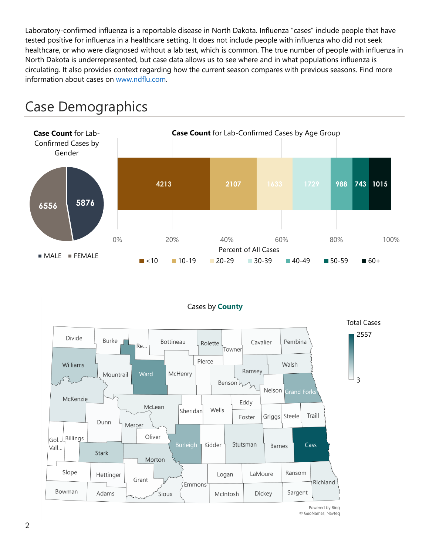Laboratory-confirmed influenza is a reportable disease in North Dakota. Influenza "cases" include people that have tested positive for influenza in a healthcare setting. It does not include people with influenza who did not seek healthcare, or who were diagnosed without a lab test, which is common. The true number of people with influenza in North Dakota is underrepresented, but case data allows us to see where and in what populations influenza is circulating. It also provides context regarding how the current season compares with previous seasons. Find more information about cases on [www.ndflu.com.](file://///nd.gov/doh/DOH-DATA/MSS/DC/PROGRAM/IMMUNE/Immunize/Influenza/Inf18-19/Surveillance/Weekly%20Summaries/www.ndflu.com)







Powered by Bing © GeoNames, Navteq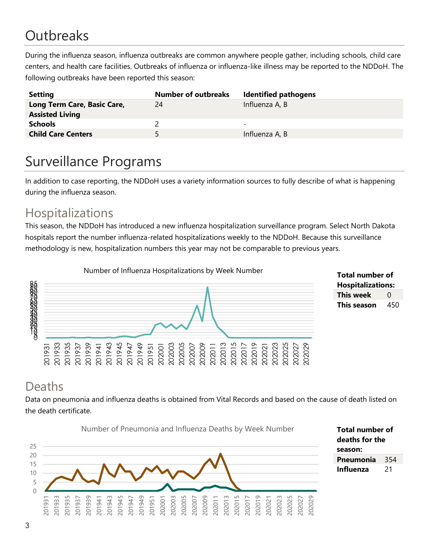# **Outbreaks**

During the influenza season, influenza outbreaks are common anywhere people gather, including schools, child care centers, and health care facilities. Outbreaks of influenza or influenza-like illness may be reported to the NDDoH. The following outbreaks have been reported this season:

| <b>Setting</b>                                        | <b>Number of outbreaks</b> | <b>Identified pathogens</b> |
|-------------------------------------------------------|----------------------------|-----------------------------|
| Long Term Care, Basic Care,<br><b>Assisted Living</b> | 24                         | Influenza A, B              |
| <b>Schools</b>                                        |                            | $\overline{\phantom{0}}$    |
| <b>Child Care Centers</b>                             | 5.                         | Influenza A, B              |

# Surveillance Programs

In addition to case reporting, the NDDoH uses a variety information sources to fully describe of what is happening during the influenza season.

#### Hospitalizations

This season, the NDDoH has introduced a new influenza hospitalization surveillance program. Select North Dakota hospitals report the number influenza-related hospitalizations weekly to the NDDoH. Because this surveillance methodology is new, hospitalization numbers this year may not be comparable to previous years.



**Total number of Hospitalizations: This week** 0 **This season** 450

#### Deaths

Data on pneumonia and influenza deaths is obtained from Vital Records and based on the cause of death listed on the death certificate.

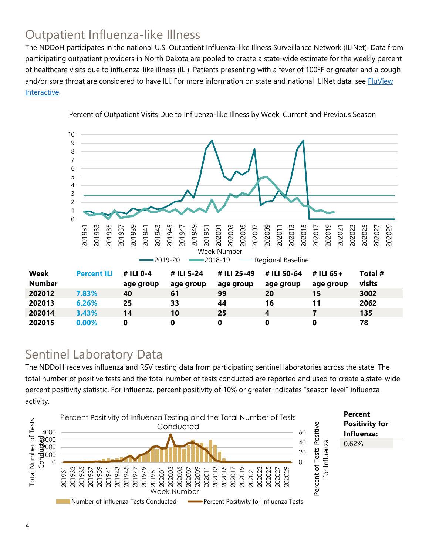### Outpatient Influenza-like Illness

The NDDoH participates in the national U.S. Outpatient Influenza-like Illness Surveillance Network (ILINet). Data from participating outpatient providers in North Dakota are pooled to create a state-wide estimate for the weekly percent of healthcare visits due to influenza-like illness (ILI). Patients presenting with a fever of 100ºF or greater and a cough and/or sore throat are considered to have ILI. For more information on state and national ILINet data, see **FluView** [Interactive.](https://gis.cdc.gov/grasp/fluview/fluportaldashboard.html)



Percent of Outpatient Visits Due to Influenza-like Illness by Week, Current and Previous Season

#### Sentinel Laboratory Data

The NDDoH receives influenza and RSV testing data from participating sentinel laboratories across the state. The total number of positive tests and the total number of tests conducted are reported and used to create a state-wide percent positivity statistic. For influenza, percent positivity of 10% or greater indicates "season level" influenza activity.

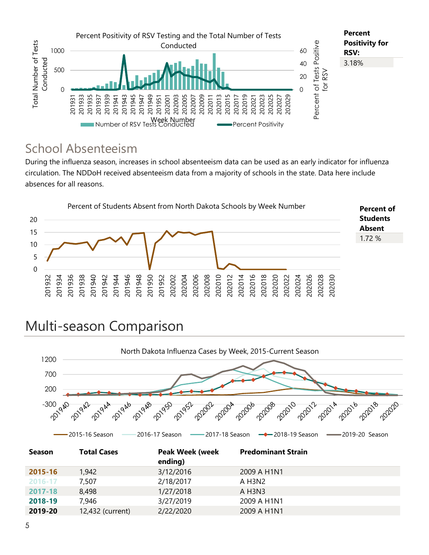

#### School Absenteeism

During the influenza season, increases in school absenteeism data can be used as an early indicator for influenza circulation. The NDDoH received absenteeism data from a majority of schools in the state. Data here include absences for all reasons.



# Multi-season Comparison